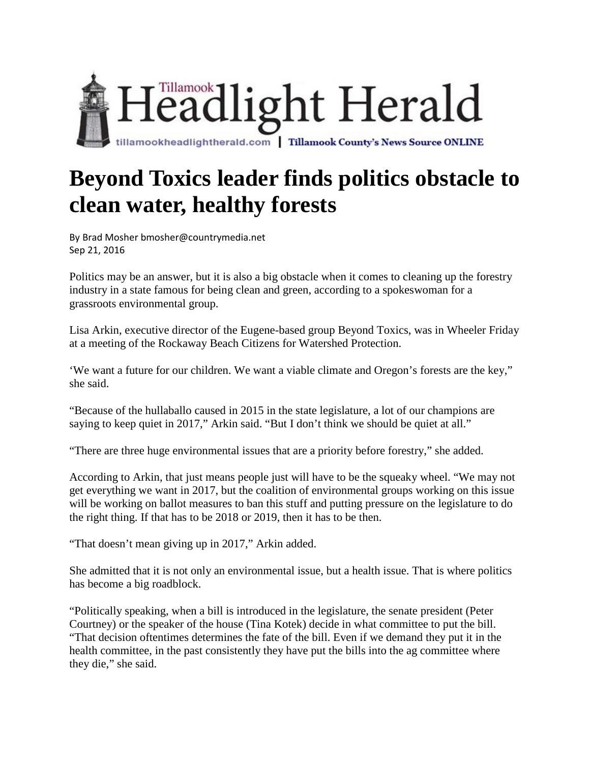

## **Beyond Toxics leader finds politics obstacle to clean water, healthy forests**

By Brad Mosher bmosher@countrymedia.net Sep 21, 2016

Politics may be an answer, but it is also a big obstacle when it comes to cleaning up the forestry industry in a state famous for being clean and green, according to a spokeswoman for a grassroots environmental group.

Lisa Arkin, executive director of the Eugene-based group Beyond Toxics, was in Wheeler Friday at a meeting of the Rockaway Beach Citizens for Watershed Protection.

'We want a future for our children. We want a viable climate and Oregon's forests are the key," she said.

"Because of the hullaballo caused in 2015 in the state legislature, a lot of our champions are saying to keep quiet in 2017," Arkin said. "But I don't think we should be quiet at all."

"There are three huge environmental issues that are a priority before forestry," she added.

According to Arkin, that just means people just will have to be the squeaky wheel. "We may not get everything we want in 2017, but the coalition of environmental groups working on this issue will be working on ballot measures to ban this stuff and putting pressure on the legislature to do the right thing. If that has to be 2018 or 2019, then it has to be then.

"That doesn't mean giving up in 2017," Arkin added.

She admitted that it is not only an environmental issue, but a health issue. That is where politics has become a big roadblock.

"Politically speaking, when a bill is introduced in the legislature, the senate president (Peter Courtney) or the speaker of the house (Tina Kotek) decide in what committee to put the bill. "That decision oftentimes determines the fate of the bill. Even if we demand they put it in the health committee, in the past consistently they have put the bills into the ag committee where they die," she said.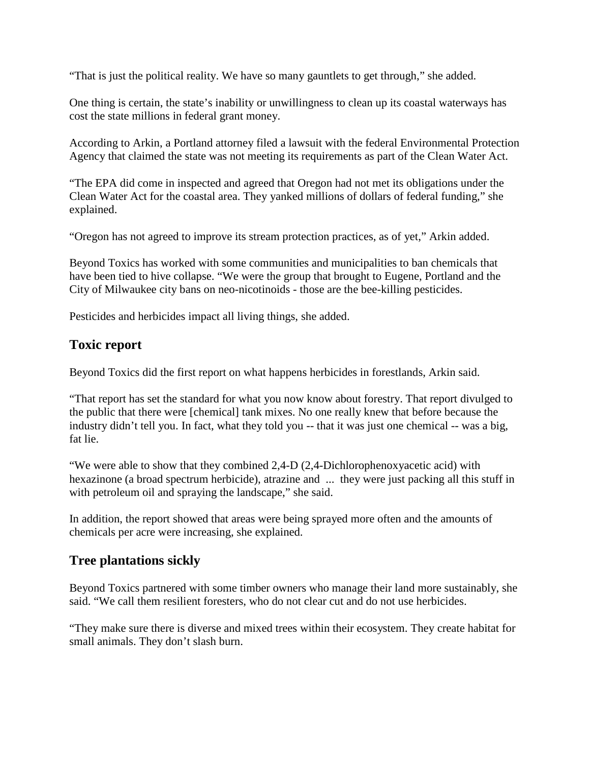"That is just the political reality. We have so many gauntlets to get through," she added.

One thing is certain, the state's inability or unwillingness to clean up its coastal waterways has cost the state millions in federal grant money.

According to Arkin, a Portland attorney filed a lawsuit with the federal Environmental Protection Agency that claimed the state was not meeting its requirements as part of the Clean Water Act.

"The EPA did come in inspected and agreed that Oregon had not met its obligations under the Clean Water Act for the coastal area. They yanked millions of dollars of federal funding," she explained.

"Oregon has not agreed to improve its stream protection practices, as of yet," Arkin added.

Beyond Toxics has worked with some communities and municipalities to ban chemicals that have been tied to hive collapse. "We were the group that brought to Eugene, Portland and the City of Milwaukee city bans on neo-nicotinoids - those are the bee-killing pesticides.

Pesticides and herbicides impact all living things, she added.

## **Toxic report**

Beyond Toxics did the first report on what happens herbicides in forestlands, Arkin said.

"That report has set the standard for what you now know about forestry. That report divulged to the public that there were [chemical] tank mixes. No one really knew that before because the industry didn't tell you. In fact, what they told you -- that it was just one chemical -- was a big, fat lie.

"We were able to show that they combined 2,4-D (2,4-Dichlorophenoxyacetic acid) with hexazinone (a broad spectrum herbicide), atrazine and ... they were just packing all this stuff in with petroleum oil and spraying the landscape," she said.

In addition, the report showed that areas were being sprayed more often and the amounts of chemicals per acre were increasing, she explained.

## **Tree plantations sickly**

Beyond Toxics partnered with some timber owners who manage their land more sustainably, she said. "We call them resilient foresters, who do not clear cut and do not use herbicides.

"They make sure there is diverse and mixed trees within their ecosystem. They create habitat for small animals. They don't slash burn.